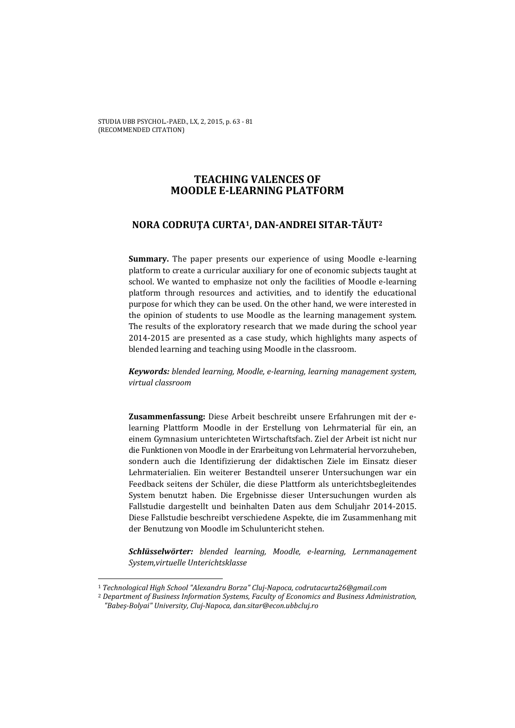# **TEACHING VALENCES OF MOODLE E-LEARNING PLATFORM**

# **NORA CODRUŢA CURTA1, DAN-ANDREI SITAR-TĂUT2**

**Summary.** The paper presents our experience of using Moodle e-learning platform to create a curricular auxiliary for one of economic subjects taught at school. We wanted to emphasize not only the facilities of Moodle e-learning platform through resources and activities, and to identify the educational purpose for which they can be used. On the other hand, we were interested in the opinion of students to use Moodle as the learning management system. The results of the exploratory research that we made during the school year 2014-2015 are presented as a case study, which highlights many aspects of blended learning and teaching using Moodle in the classroom.

*Keywords: blended learning, Moodle, e-learning, learning management system, virtual classroom* 

**Zusammenfassung:** Diese Arbeit beschreibt unsere Erfahrungen mit der elearning Plattform Moodle in der Erstellung von Lehrmaterial für ein, an einem Gymnasium unterichteten Wirtschaftsfach. Ziel der Arbeit ist nicht nur die Funktionen von Moodle in der Erarbeitung von Lehrmaterial hervorzuheben, sondern auch die Identifizierung der didaktischen Ziele im Einsatz dieser Lehrmaterialien. Ein weiterer Bestandteil unserer Untersuchungen war ein Feedback seitens der Schüler, die diese Plattform als unterichtsbegleitendes System benutzt haben. Die Ergebnisse dieser Untersuchungen wurden als Fallstudie dargestellt und beinhalten Daten aus dem Schuljahr 2014-2015. Diese Fallstudie beschreibt verschiedene Aspekte, die im Zusammenhang mit der Benutzung von Moodle im Schuluntericht stehen.

*Schlüsselwörter: blended learning, Moodle, e-learning, Lernmanagement System,virtuelle Unterichtsklasse* 

 $\overline{\phantom{0}}$ 

<sup>1</sup> *Technological High School "Alexandru Borza" Cluj-Napoca, codrutacurta26@gmail.com*

<sup>2</sup> *Department of Business Information Systems, Faculty of Economics and Business Administration, "Babeş-Bolyai" University, Cluj-Napoca, dan.sitar@econ.ubbcluj.ro*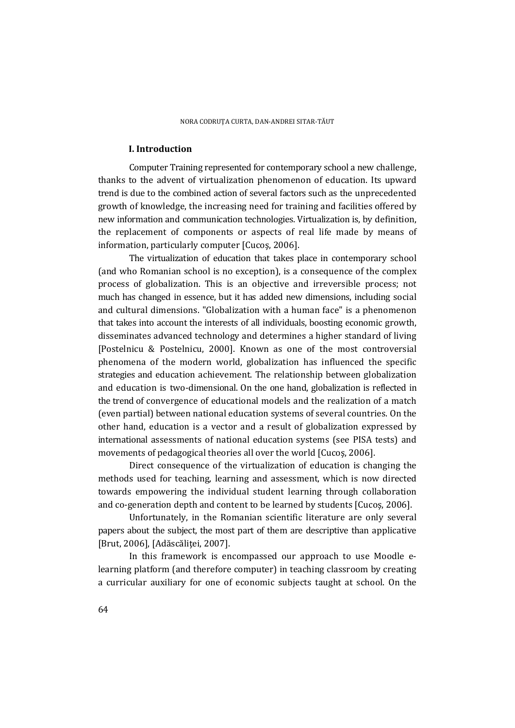### **I. Introduction**

 Computer Training represented for contemporary school a new challenge, thanks to the advent of virtualization phenomenon of education. Its upward trend is due to the combined action of several factors such as the unprecedented growth of knowledge, the increasing need for training and facilities offered by new information and communication technologies. Virtualization is, by definition, the replacement of components or aspects of real life made by means of information, particularly computer [Cucoş, 2006].

 The virtualization of education that takes place in contemporary school (and who Romanian school is no exception), is a consequence of the complex process of globalization. This is an objective and irreversible process; not much has changed in essence, but it has added new dimensions, including social and cultural dimensions. "Globalization with a human face" is a phenomenon that takes into account the interests of all individuals, boosting economic growth, disseminates advanced technology and determines a higher standard of living [Postelnicu & Postelnicu, 2000]. Known as one of the most controversial phenomena of the modern world, globalization has influenced the specific strategies and education achievement. The relationship between globalization and education is two-dimensional. On the one hand, globalization is reflected in the trend of convergence of educational models and the realization of a match (even partial) between national education systems of several countries. On the other hand, education is a vector and a result of globalization expressed by international assessments of national education systems (see PISA tests) and movements of pedagogical theories all over the world [Cucoş, 2006].

 Direct consequence of the virtualization of education is changing the methods used for teaching, learning and assessment, which is now directed towards empowering the individual student learning through collaboration and co-generation depth and content to be learned by students [Cucoş, 2006].

 Unfortunately, in the Romanian scientific literature are only several papers about the subject, the most part of them are descriptive than applicative [Brut, 2006], [Adăscăliței, 2007].

 In this framework is encompassed our approach to use Moodle elearning platform (and therefore computer) in teaching classroom by creating a curricular auxiliary for one of economic subjects taught at school. On the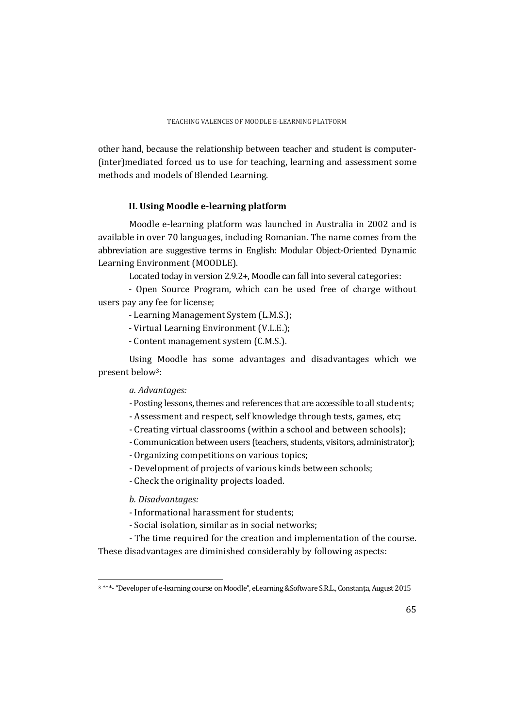other hand, because the relationship between teacher and student is computer- (inter)mediated forced us to use for teaching, learning and assessment some methods and models of Blended Learning.

### **II. Using Moodle e-learning platform**

 Moodle e-learning platform was launched in Australia in 2002 and is available in over 70 languages, including Romanian. The name comes from the abbreviation are suggestive terms in English: Modular Object-Oriented Dynamic Learning Environment (MOODLE).

Located today in version 2.9.2+, Moodle can fall into several categories:

- Open Source Program, which can be used free of charge without users pay any fee for license;

- Learning Management System (L.M.S.);

- Virtual Learning Environment (V.L.E.);

- Content management system (C.M.S.).

 Using Moodle has some advantages and disadvantages which we present below3:

*a. Advantages:* 

- Posting lessons, themes and references that are accessible to all students;
- Assessment and respect, self knowledge through tests, games, etc;
- Creating virtual classrooms (within a school and between schools);
- Communication between users (teachers, students, visitors, administrator);
- Organizing competitions on various topics;
- Development of projects of various kinds between schools;
- Check the originality projects loaded.

*b. Disadvantages:* 

 $\overline{a}$ 

- Informational harassment for students;
- Social isolation, similar as in social networks;

- The time required for the creation and implementation of the course. These disadvantages are diminished considerably by following aspects:

<sup>3 \*\*\*- &</sup>quot;Developer of e-learning course on Moodle", eLearning &Software S.R.L., Constanţa, August 2015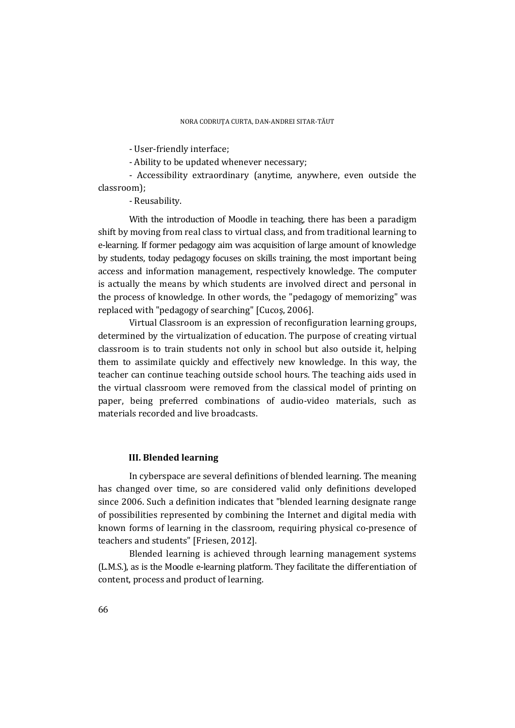- User-friendly interface;

- Ability to be updated whenever necessary;

- Accessibility extraordinary (anytime, anywhere, even outside the classroom);

- Reusability.

 With the introduction of Moodle in teaching, there has been a paradigm shift by moving from real class to virtual class, and from traditional learning to e-learning. If former pedagogy aim was acquisition of large amount of knowledge by students, today pedagogy focuses on skills training, the most important being access and information management, respectively knowledge. The computer is actually the means by which students are involved direct and personal in the process of knowledge. In other words, the "pedagogy of memorizing" was replaced with "pedagogy of searching" [Cucoş, 2006].

 Virtual Classroom is an expression of reconfiguration learning groups, determined by the virtualization of education. The purpose of creating virtual classroom is to train students not only in school but also outside it, helping them to assimilate quickly and effectively new knowledge. In this way, the teacher can continue teaching outside school hours. The teaching aids used in the virtual classroom were removed from the classical model of printing on paper, being preferred combinations of audio-video materials, such as materials recorded and live broadcasts.

### **III. Blended learning**

 In cyberspace are several definitions of blended learning. The meaning has changed over time, so are considered valid only definitions developed since 2006. Such a definition indicates that "blended learning designate range of possibilities represented by combining the Internet and digital media with known forms of learning in the classroom, requiring physical co-presence of teachers and students" [Friesen, 2012].

 Blended learning is achieved through learning management systems (L.M.S.), as is the Moodle e-learning platform. They facilitate the differentiation of content, process and product of learning.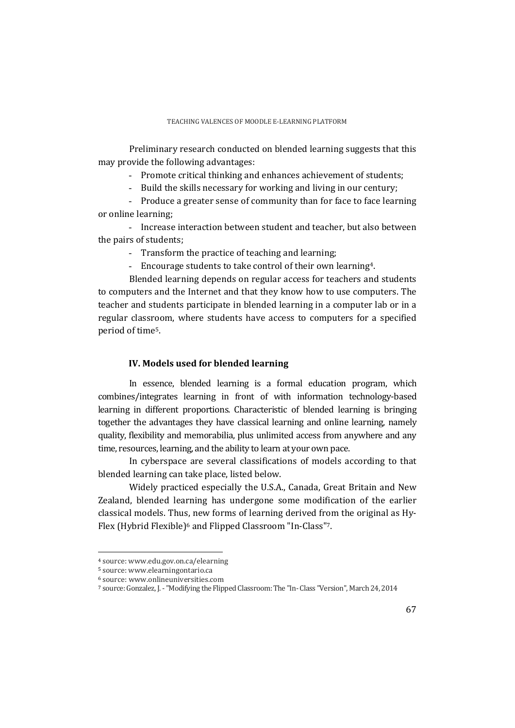Preliminary research conducted on blended learning suggests that this may provide the following advantages:

- Promote critical thinking and enhances achievement of students;

- Build the skills necessary for working and living in our century;

- Produce a greater sense of community than for face to face learning or online learning;

- Increase interaction between student and teacher, but also between the pairs of students;

- Transform the practice of teaching and learning;
- Encourage students to take control of their own learning4.

 Blended learning depends on regular access for teachers and students to computers and the Internet and that they know how to use computers. The teacher and students participate in blended learning in a computer lab or in a regular classroom, where students have access to computers for a specified period of time5.

## **IV. Models used for blended learning**

 In essence, blended learning is a formal education program, which combines/integrates learning in front of with information technology-based learning in different proportions. Characteristic of blended learning is bringing together the advantages they have classical learning and online learning, namely quality, flexibility and memorabilia, plus unlimited access from anywhere and any time, resources, learning, and the ability to learn at your own pace.

 In cyberspace are several classifications of models according to that blended learning can take place, listed below.

 Widely practiced especially the U.S.A., Canada, Great Britain and New Zealand, blended learning has undergone some modification of the earlier classical models. Thus, new forms of learning derived from the original as Hy-Flex (Hybrid Flexible)6 and Flipped Classroom "In-Class"7.

l

<sup>4</sup> source: www.edu.gov.on.ca/elearning

<sup>5</sup> source: www.elearningontario.ca

<sup>6</sup> source: www.onlineuniversities.com

<sup>7</sup> source: Gonzalez, J. - "Modifying the Flipped Classroom: The "In- Class "Version", March 24, 2014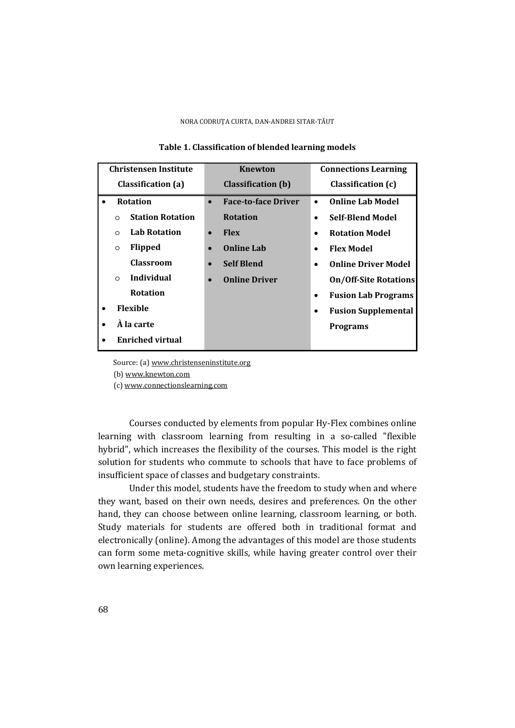| <b>Christensen Institute</b> |                         | Knewton                   |           | <b>Connections Learning</b> |           |                              |
|------------------------------|-------------------------|---------------------------|-----------|-----------------------------|-----------|------------------------------|
| Classification (a)           |                         | <b>Classification</b> (b) |           | Classification (c)          |           |                              |
|                              |                         | <b>Rotation</b>           | $\bullet$ | <b>Face-to-face Driver</b>  |           | <b>Online Lab Model</b>      |
|                              | $\Omega$                | <b>Station Rotation</b>   |           | <b>Rotation</b>             | $\bullet$ | <b>Self-Blend Model</b>      |
|                              | $\Omega$                | <b>Lab Rotation</b>       | $\bullet$ | <b>Flex</b>                 |           | <b>Rotation Model</b>        |
|                              | $\circ$                 | <b>Flipped</b>            |           | <b>Online Lab</b>           |           | <b>Flex Model</b>            |
|                              |                         | <b>Classroom</b>          | $\bullet$ | <b>Self Blend</b>           |           | <b>Online Driver Model</b>   |
|                              | $\Omega$                | Individual                | $\bullet$ | <b>Online Driver</b>        |           | <b>On/Off-Site Rotations</b> |
|                              |                         | <b>Rotation</b>           |           |                             | $\bullet$ | <b>Fusion Lab Programs</b>   |
|                              | <b>Flexible</b>         |                           |           |                             | ٠         | <b>Fusion Supplemental</b>   |
|                              | À la carte              |                           |           |                             |           | <b>Programs</b>              |
|                              | <b>Enriched virtual</b> |                           |           |                             |           |                              |

### **Table 1. Classification of blended learning models**

Source: (a) www.christenseninstitute.org

(b) www.knewton.com

(c) www.connectionslearning.com

 Courses conducted by elements from popular Hy-Flex combines online learning with classroom learning from resulting in a so-called "flexible hybrid", which increases the flexibility of the courses. This model is the right solution for students who commute to schools that have to face problems of insufficient space of classes and budgetary constraints.

 Under this model, students have the freedom to study when and where they want, based on their own needs, desires and preferences. On the other hand, they can choose between online learning, classroom learning, or both. Study materials for students are offered both in traditional format and electronically (online). Among the advantages of this model are those students can form some meta-cognitive skills, while having greater control over their own learning experiences.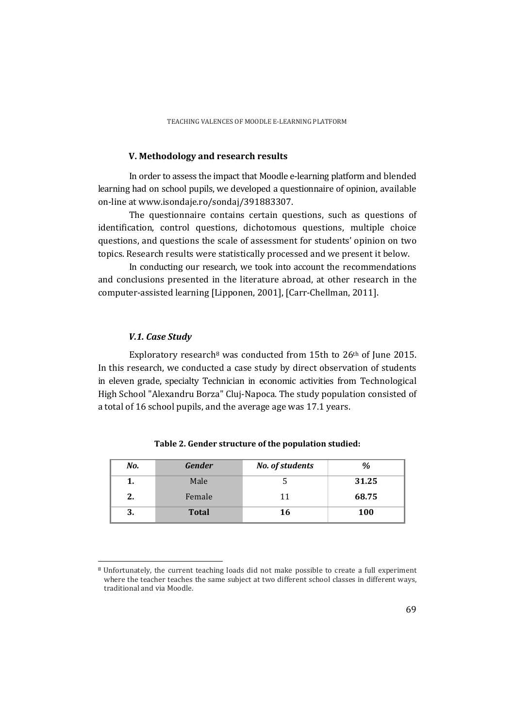### **V. Methodology and research results**

 In order to assess the impact that Moodle e-learning platform and blended learning had on school pupils, we developed a questionnaire of opinion, available on-line at www.isondaje.ro/sondaj/391883307.

 The questionnaire contains certain questions, such as questions of identification, control questions, dichotomous questions, multiple choice questions, and questions the scale of assessment for students' opinion on two topics. Research results were statistically processed and we present it below.

 In conducting our research, we took into account the recommendations and conclusions presented in the literature abroad, at other research in the computer-assisted learning [Lipponen, 2001], [Carr-Chellman, 2011].

### *V.1. Case Study*

l

Exploratory research<sup>8</sup> was conducted from 15th to  $26<sup>th</sup>$  of June 2015. In this research, we conducted a case study by direct observation of students in eleven grade, specialty Technician in economic activities from Technological High School "Alexandru Borza" Cluj-Napoca. The study population consisted of a total of 16 school pupils, and the average age was 17.1 years.

| No. | <b>Gender</b> | No. of students | %          |
|-----|---------------|-----------------|------------|
|     | Male          |                 | 31.25      |
| 2.  | Female        | 11              | 68.75      |
| J.  | <b>Total</b>  | 16              | <b>100</b> |

**Table 2. Gender structure of the population studied:** 

<sup>8</sup> Unfortunately, the current teaching loads did not make possible to create a full experiment where the teacher teaches the same subject at two different school classes in different ways, traditional and via Moodle.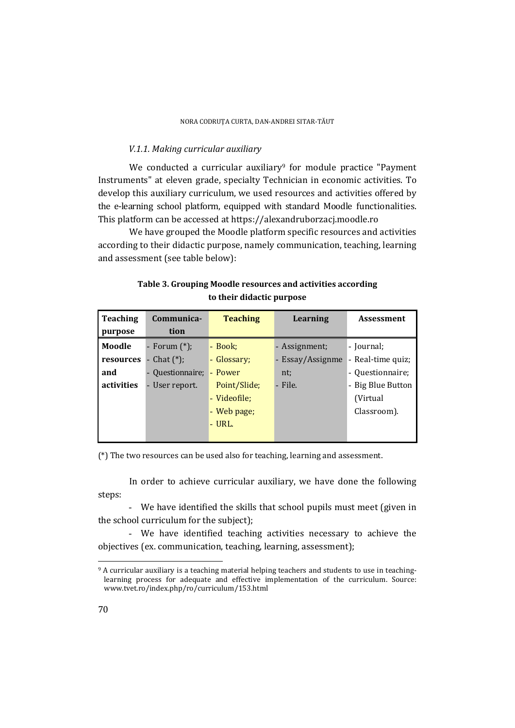### *V.1.1. Making curricular auxiliary*

We conducted a curricular auxiliary<sup>9</sup> for module practice "Payment" Instruments" at eleven grade, specialty Technician in economic activities. To develop this auxiliary curriculum, we used resources and activities offered by the e-learning school platform, equipped with standard Moodle functionalities. This platform can be accessed at https://alexandruborzacj.moodle.ro

 We have grouped the Moodle platform specific resources and activities according to their didactic purpose, namely communication, teaching, learning and assessment (see table below):

| <b>Teaching</b> | Communica-                               | <b>Teaching</b> | Learning         | <b>Assessment</b> |
|-----------------|------------------------------------------|-----------------|------------------|-------------------|
| purpose         | tion                                     |                 |                  |                   |
| Moodle          | - Forum $(*)$ ;                          | - Book;         | - Assignment;    | - Journal;        |
| resources       | Chat $(*)$ ;<br>$\overline{\phantom{a}}$ | - Glossary;     | - Essay/Assignme | - Real-time quiz; |
| and             | - Questionnaire;                         | - Power         | nt;              | - Questionnaire;  |
| activities      | User report.                             | Point/Slide;    | - File.          | - Big Blue Button |
|                 |                                          | - Videofile:    |                  | (Virtual)         |
|                 |                                          | - Web page;     |                  | Classroom).       |
|                 |                                          | $-$ URL.        |                  |                   |
|                 |                                          |                 |                  |                   |

# **Table 3. Grouping Moodle resources and activities according to their didactic purpose**

(\*) The two resources can be used also for teaching, learning and assessment.

 In order to achieve curricular auxiliary, we have done the following steps:

- We have identified the skills that school pupils must meet (given in the school curriculum for the subject);

- We have identified teaching activities necessary to achieve the objectives (ex. communication, teaching, learning, assessment);

l

<sup>9</sup> A curricular auxiliary is a teaching material helping teachers and students to use in teachinglearning process for adequate and effective implementation of the curriculum. Source: www.tvet.ro/index.php/ro/curriculum/153.html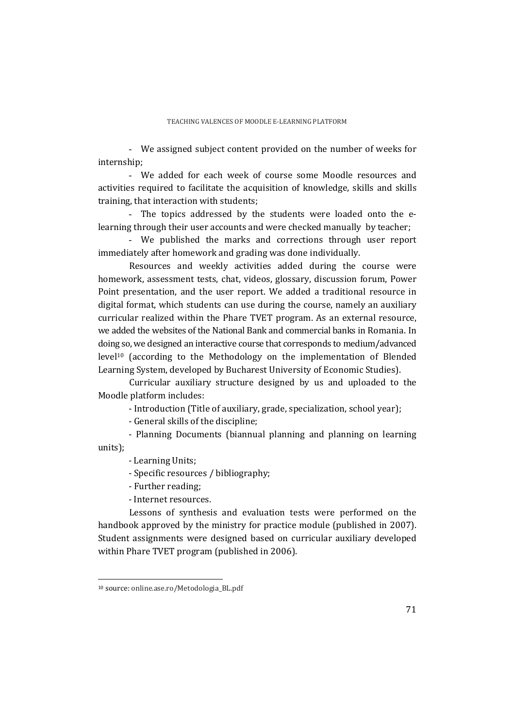- We assigned subject content provided on the number of weeks for internship;

- We added for each week of course some Moodle resources and activities required to facilitate the acquisition of knowledge, skills and skills training, that interaction with students;

The topics addressed by the students were loaded onto the elearning through their user accounts and were checked manually by teacher;

- We published the marks and corrections through user report immediately after homework and grading was done individually.

 Resources and weekly activities added during the course were homework, assessment tests, chat, videos, glossary, discussion forum, Power Point presentation, and the user report. We added a traditional resource in digital format, which students can use during the course, namely an auxiliary curricular realized within the Phare TVET program. As an external resource, we added the websites of the National Bank and commercial banks in Romania. In doing so, we designed an interactive course that corresponds to medium/advanced level10 (according to the Methodology on the implementation of Blended Learning System, developed by Bucharest University of Economic Studies).

 Curricular auxiliary structure designed by us and uploaded to the Moodle platform includes:

- Introduction (Title of auxiliary, grade, specialization, school year);

- General skills of the discipline;

- Planning Documents (biannual planning and planning on learning units);

- Learning Units;

- Specific resources / bibliography;

- Further reading;

- Internet resources.

 Lessons of synthesis and evaluation tests were performed on the handbook approved by the ministry for practice module (published in 2007). Student assignments were designed based on curricular auxiliary developed within Phare TVET program (published in 2006).

 $\overline{a}$ 

<sup>10</sup> source: online.ase.ro/Metodologia\_BL.pdf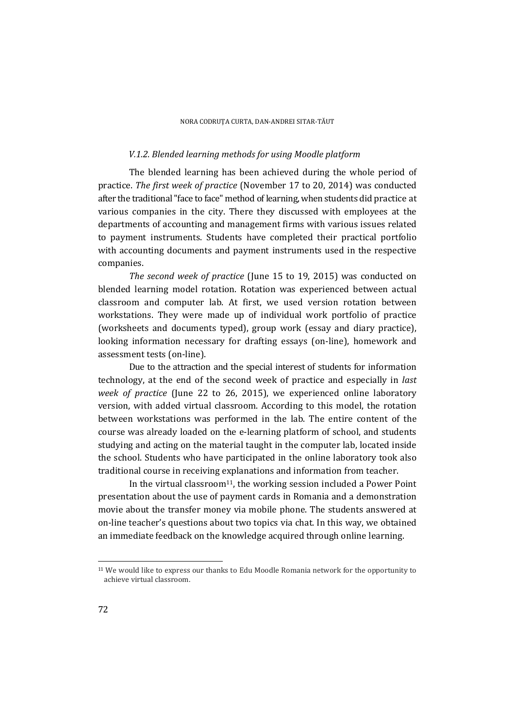### *V.1.2. Blended learning methods for using Moodle platform*

 The blended learning has been achieved during the whole period of practice. *The first week of practice* (November 17 to 20, 2014) was conducted after the traditional "face to face" method of learning, when students did practice at various companies in the city. There they discussed with employees at the departments of accounting and management firms with various issues related to payment instruments. Students have completed their practical portfolio with accounting documents and payment instruments used in the respective companies.

*The second week of practice* (June 15 to 19, 2015) was conducted on blended learning model rotation. Rotation was experienced between actual classroom and computer lab. At first, we used version rotation between workstations. They were made up of individual work portfolio of practice (worksheets and documents typed), group work (essay and diary practice), looking information necessary for drafting essays (on-line), homework and assessment tests (on-line).

 Due to the attraction and the special interest of students for information technology, at the end of the second week of practice and especially in *last week of practice* (June 22 to 26, 2015), we experienced online laboratory version, with added virtual classroom. According to this model, the rotation between workstations was performed in the lab. The entire content of the course was already loaded on the e-learning platform of school, and students studying and acting on the material taught in the computer lab, located inside the school. Students who have participated in the online laboratory took also traditional course in receiving explanations and information from teacher.

In the virtual classroom<sup>11</sup>, the working session included a Power Point presentation about the use of payment cards in Romania and a demonstration movie about the transfer money via mobile phone. The students answered at on-line teacher's questions about two topics via chat. In this way, we obtained an immediate feedback on the knowledge acquired through online learning.

l

<sup>11</sup> We would like to express our thanks to Edu Moodle Romania network for the opportunity to achieve virtual classroom.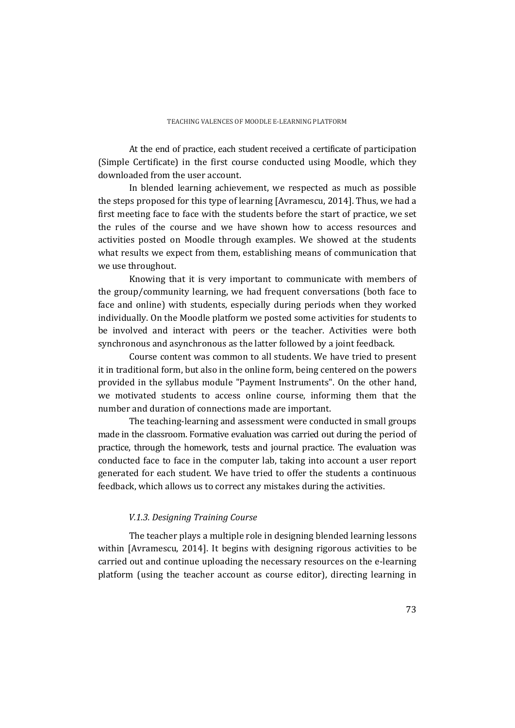At the end of practice, each student received a certificate of participation (Simple Certificate) in the first course conducted using Moodle, which they downloaded from the user account.

 In blended learning achievement, we respected as much as possible the steps proposed for this type of learning [Avramescu, 2014]. Thus, we had a first meeting face to face with the students before the start of practice, we set the rules of the course and we have shown how to access resources and activities posted on Moodle through examples. We showed at the students what results we expect from them, establishing means of communication that we use throughout.

 Knowing that it is very important to communicate with members of the group/community learning, we had frequent conversations (both face to face and online) with students, especially during periods when they worked individually. On the Moodle platform we posted some activities for students to be involved and interact with peers or the teacher. Activities were both synchronous and asynchronous as the latter followed by a joint feedback.

 Course content was common to all students. We have tried to present it in traditional form, but also in the online form, being centered on the powers provided in the syllabus module "Payment Instruments". On the other hand, we motivated students to access online course, informing them that the number and duration of connections made are important.

 The teaching-learning and assessment were conducted in small groups made in the classroom. Formative evaluation was carried out during the period of practice, through the homework, tests and journal practice. The evaluation was conducted face to face in the computer lab, taking into account a user report generated for each student. We have tried to offer the students a continuous feedback, which allows us to correct any mistakes during the activities.

### *V.1.3. Designing Training Course*

 The teacher plays a multiple role in designing blended learning lessons within [Avramescu, 2014]. It begins with designing rigorous activities to be carried out and continue uploading the necessary resources on the e-learning platform (using the teacher account as course editor), directing learning in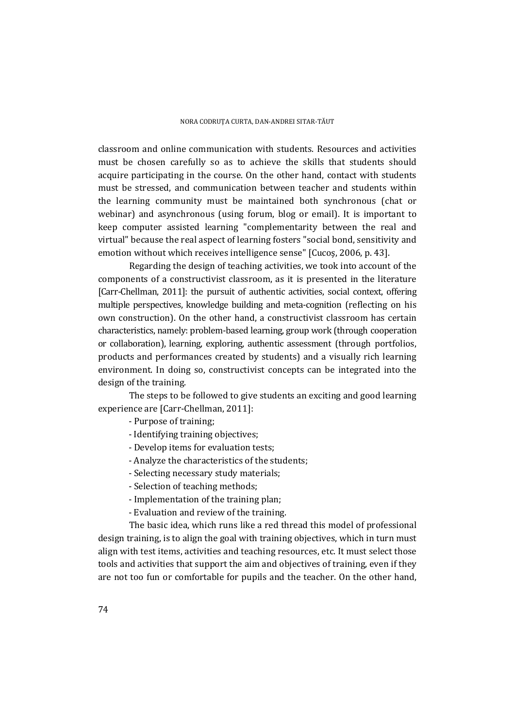classroom and online communication with students. Resources and activities must be chosen carefully so as to achieve the skills that students should acquire participating in the course. On the other hand, contact with students must be stressed, and communication between teacher and students within the learning community must be maintained both synchronous (chat or webinar) and asynchronous (using forum, blog or email). It is important to keep computer assisted learning "complementarity between the real and virtual" because the real aspect of learning fosters "social bond, sensitivity and emotion without which receives intelligence sense" [Cucoş, 2006, p. 43].

 Regarding the design of teaching activities, we took into account of the components of a constructivist classroom, as it is presented in the literature [Carr-Chellman, 2011]: the pursuit of authentic activities, social context, offering multiple perspectives, knowledge building and meta-cognition (reflecting on his own construction). On the other hand, a constructivist classroom has certain characteristics, namely: problem-based learning, group work (through cooperation or collaboration), learning, exploring, authentic assessment (through portfolios, products and performances created by students) and a visually rich learning environment. In doing so, constructivist concepts can be integrated into the design of the training.

 The steps to be followed to give students an exciting and good learning experience are [Carr-Chellman, 2011]:

- Purpose of training;
- Identifying training objectives;
- Develop items for evaluation tests;
- Analyze the characteristics of the students;
- Selecting necessary study materials;
- Selection of teaching methods;
- Implementation of the training plan;
- Evaluation and review of the training.

 The basic idea, which runs like a red thread this model of professional design training, is to align the goal with training objectives, which in turn must align with test items, activities and teaching resources, etc. It must select those tools and activities that support the aim and objectives of training, even if they are not too fun or comfortable for pupils and the teacher. On the other hand,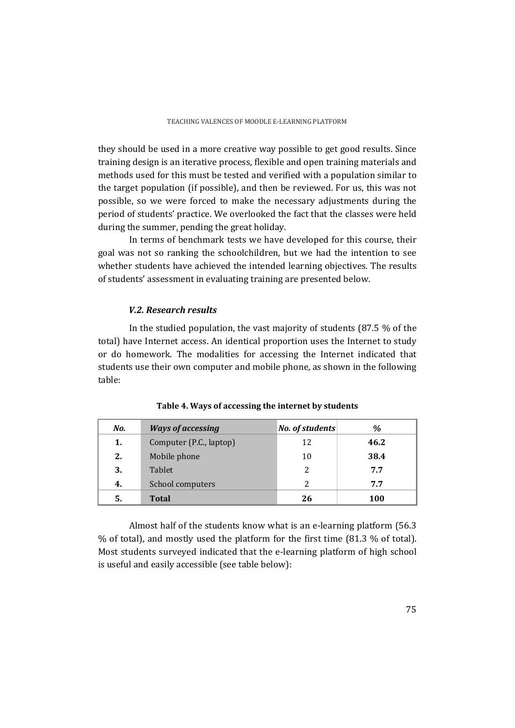they should be used in a more creative way possible to get good results. Since training design is an iterative process, flexible and open training materials and methods used for this must be tested and verified with a population similar to the target population (if possible), and then be reviewed. For us, this was not possible, so we were forced to make the necessary adjustments during the period of students' practice. We overlooked the fact that the classes were held during the summer, pending the great holiday.

 In terms of benchmark tests we have developed for this course, their goal was not so ranking the schoolchildren, but we had the intention to see whether students have achieved the intended learning objectives. The results of students' assessment in evaluating training are presented below.

## *V.2. Research results*

 In the studied population, the vast majority of students (87.5 % of the total) have Internet access. An identical proportion uses the Internet to study or do homework. The modalities for accessing the Internet indicated that students use their own computer and mobile phone, as shown in the following table:

| No. | <b>Ways of accessing</b> | No. of students | %    |
|-----|--------------------------|-----------------|------|
| 1.  | Computer (P.C., laptop)  | 12              | 46.2 |
| 2.  | Mobile phone             | 10              | 38.4 |
| 3.  | <b>Tablet</b>            | 2               | 7.7  |
| 4.  | School computers         | $\mathcal{P}$   | 7.7  |
| 5.  | <b>Total</b>             | 26              | 100  |

|  | Table 4. Ways of accessing the internet by students |  |  |  |
|--|-----------------------------------------------------|--|--|--|
|--|-----------------------------------------------------|--|--|--|

 Almost half of the students know what is an e-learning platform (56.3 % of total), and mostly used the platform for the first time (81.3 % of total). Most students surveyed indicated that the e-learning platform of high school is useful and easily accessible (see table below):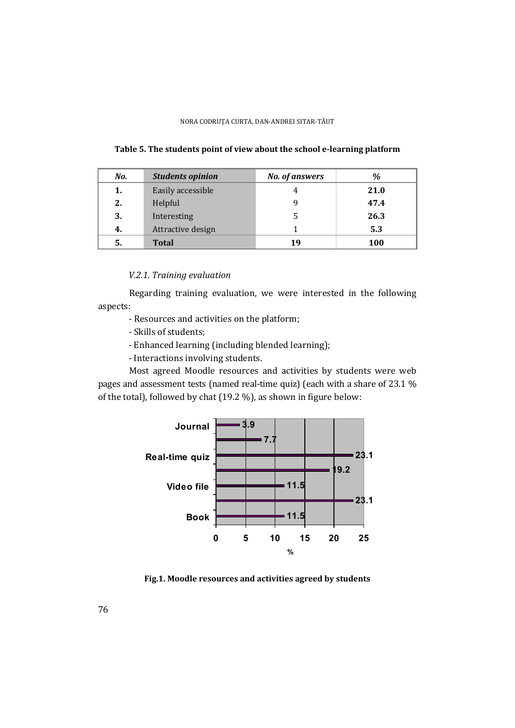| No. | <b>Students opinion</b> | No. of answers | %    |
|-----|-------------------------|----------------|------|
| 1.  | Easily accessible       | 4              | 21.0 |
| 2.  | Helpful                 | 9              | 47.4 |
| 3.  | Interesting             | 5              | 26.3 |
| 4.  | Attractive design       |                | 5.3  |
| 5.  | <b>Total</b>            | 19             | 100  |

**Table 5. The students point of view about the school e-learning platform** 

## *V.2.1. Training evaluation*

 Regarding training evaluation, we were interested in the following aspects:

- Resources and activities on the platform;
- Skills of students;
- Enhanced learning (including blended learning);
- Interactions involving students.

 Most agreed Moodle resources and activities by students were web pages and assessment tests (named real-time quiz) (each with a share of 23.1 % of the total), followed by chat (19.2 %), as shown in figure below:



**Fig.1. Moodle resources and activities agreed by students**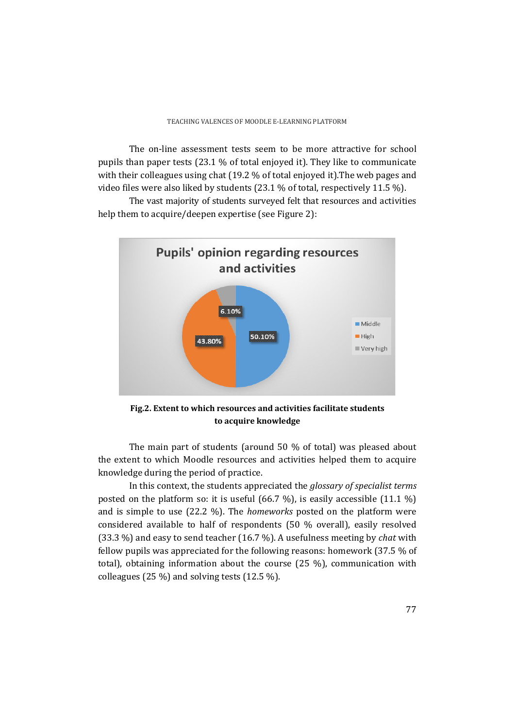The on-line assessment tests seem to be more attractive for school pupils than paper tests (23.1 % of total enjoyed it). They like to communicate with their colleagues using chat (19.2 % of total enjoyed it).The web pages and video files were also liked by students  $(23.1\%$  of total, respectively 11.5 %).

 The vast majority of students surveyed felt that resources and activities help them to acquire/deepen expertise (see Figure 2):



**Fig.2. Extent to which resources and activities facilitate students to acquire knowledge** 

 The main part of students (around 50 % of total) was pleased about the extent to which Moodle resources and activities helped them to acquire knowledge during the period of practice.

 In this context, the students appreciated the *glossary of specialist terms* posted on the platform so: it is useful (66.7 %), is easily accessible (11.1 %) and is simple to use (22.2 %). The *homeworks* posted on the platform were considered available to half of respondents (50 % overall), easily resolved (33.3 %) and easy to send teacher (16.7 %). A usefulness meeting by *chat* with fellow pupils was appreciated for the following reasons: homework (37.5 % of total), obtaining information about the course (25 %), communication with colleagues (25 %) and solving tests (12.5 %).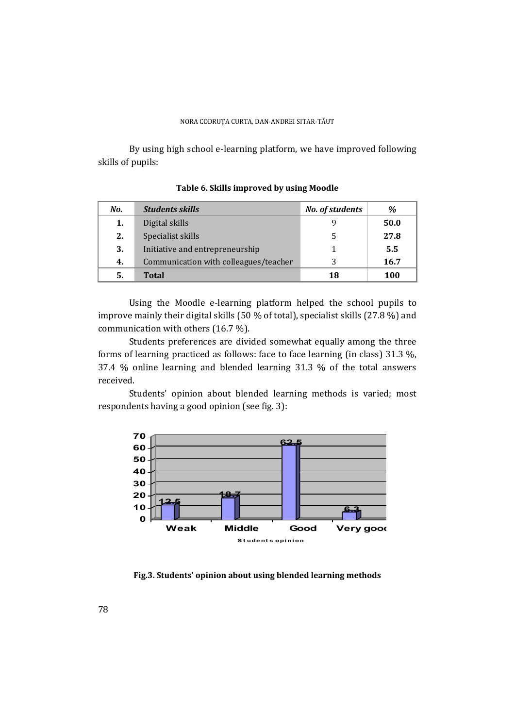By using high school e-learning platform, we have improved following skills of pupils:

| No. | <b>Students skills</b>                | No. of students | $\%$ |
|-----|---------------------------------------|-----------------|------|
| 1.  | Digital skills                        |                 | 50.0 |
| 2.  | Specialist skills                     |                 | 27.8 |
| 3.  | Initiative and entrepreneurship       |                 | 5.5  |
| 4.  | Communication with colleagues/teacher | 2               | 16.7 |
| 5.  | <b>Total</b>                          | 18              | 100  |

**Table 6. Skills improved by using Moodle** 

 Using the Moodle e-learning platform helped the school pupils to improve mainly their digital skills (50 % of total), specialist skills (27.8 %) and communication with others (16.7 %).

 Students preferences are divided somewhat equally among the three forms of learning practiced as follows: face to face learning (in class) 31.3 %, 37.4 % online learning and blended learning 31.3 % of the total answers received.

 Students' opinion about blended learning methods is varied; most respondents having a good opinion (see fig. 3):



**Fig.3. Students' opinion about using blended learning methods**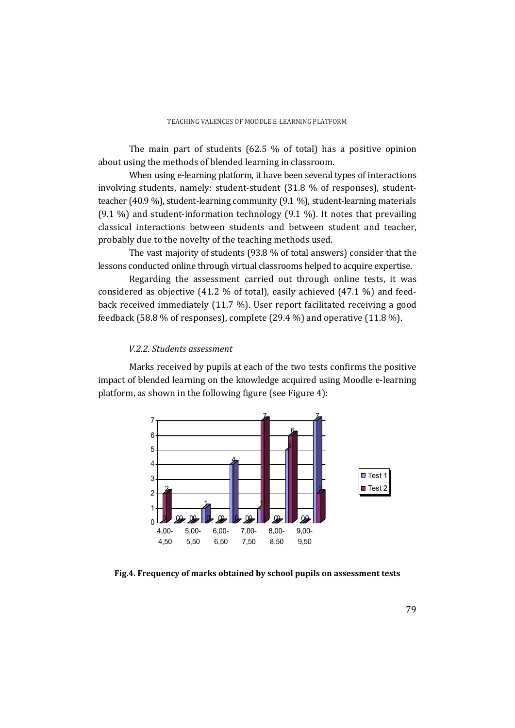The main part of students (62.5 % of total) has a positive opinion about using the methods of blended learning in classroom.

 When using e-learning platform, it have been several types of interactions involving students, namely: student-student (31.8 % of responses), studentteacher (40.9 %), student-learning community (9.1 %), student-learning materials (9.1 %) and student-information technology (9.1 %). It notes that prevailing classical interactions between students and between student and teacher, probably due to the novelty of the teaching methods used.

 The vast majority of students (93.8 % of total answers) consider that the lessons conducted online through virtual classrooms helped to acquire expertise.

 Regarding the assessment carried out through online tests, it was considered as objective (41.2 % of total), easily achieved (47.1 %) and feedback received immediately (11.7 %). User report facilitated receiving a good feedback (58.8 % of responses), complete (29.4 %) and operative (11.8 %).

### *V.2.2. Students assessment*

 Marks received by pupils at each of the two tests confirms the positive impact of blended learning on the knowledge acquired using Moodle e-learning platform, as shown in the following figure (see Figure 4):



**Fig.4. Frequency of marks obtained by school pupils on assessment tests**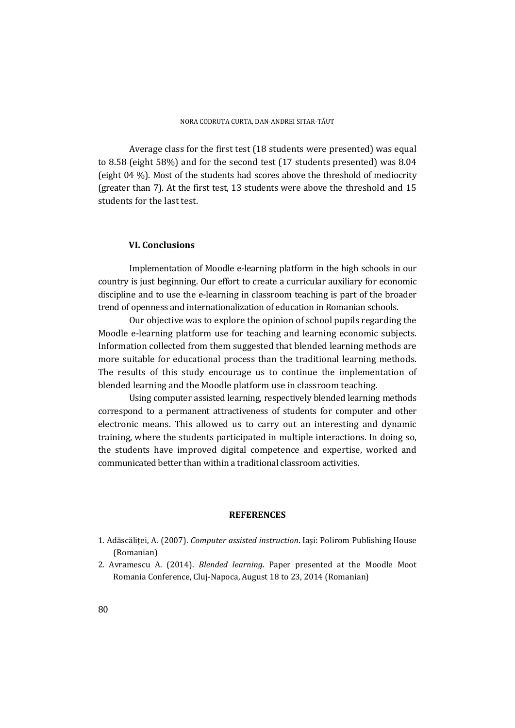Average class for the first test (18 students were presented) was equal to 8.58 (eight 58%) and for the second test (17 students presented) was 8.04 (eight 04 %). Most of the students had scores above the threshold of mediocrity (greater than 7). At the first test, 13 students were above the threshold and 15 students for the last test.

#### **VI. Conclusions**

 Implementation of Moodle e-learning platform in the high schools in our country is just beginning. Our effort to create a curricular auxiliary for economic discipline and to use the e-learning in classroom teaching is part of the broader trend of openness and internationalization of education in Romanian schools.

 Our objective was to explore the opinion of school pupils regarding the Moodle e-learning platform use for teaching and learning economic subjects. Information collected from them suggested that blended learning methods are more suitable for educational process than the traditional learning methods. The results of this study encourage us to continue the implementation of blended learning and the Moodle platform use in classroom teaching.

 Using computer assisted learning, respectively blended learning methods correspond to a permanent attractiveness of students for computer and other electronic means. This allowed us to carry out an interesting and dynamic training, where the students participated in multiple interactions. In doing so, the students have improved digital competence and expertise, worked and communicated better than within a traditional classroom activities.

#### **REFERENCES**

- 1. Adăscăliţei, A. (2007). *Computer assisted instruction*. Iaşi: Polirom Publishing House (Romanian)
- 2. Avramescu A. (2014). *Blended learning*. Paper presented at the Moodle Moot Romania Conference, Cluj-Napoca, August 18 to 23, 2014 (Romanian)